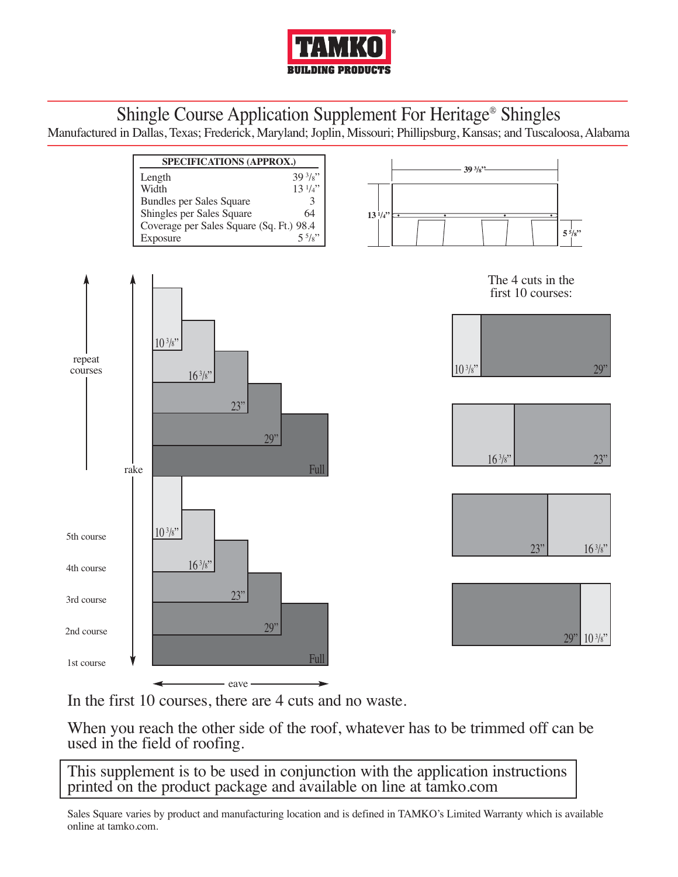

## Shingle Course Application Supplement For Heritage® Shingles

Manufactured in Dallas, Texas; Frederick, Maryland; Joplin, Missouri; Phillipsburg, Kansas; and Tuscaloosa, Alabama



In the first 10 courses, there are 4 cuts and no waste.

When you reach the other side of the roof, whatever has to be trimmed off can be used in the field of roofing.

This supplement is to be used in conjunction with the application instructions printed on the product package and available on line at tamko.com

Sales Square varies by product and manufacturing location and is defined in TAMKO's Limited Warranty which is available online at tamko.com.